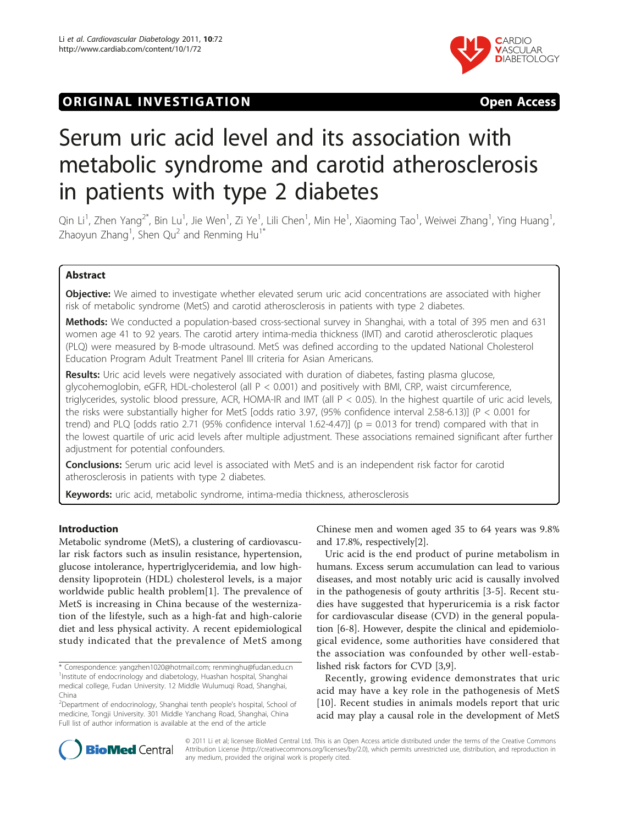## **ORIGINAL INVESTIGATION CONSUMING THE STATE OPEN ACCESS**



# Serum uric acid level and its association with metabolic syndrome and carotid atherosclerosis in patients with type 2 diabetes

Qin Li<sup>1</sup>, Zhen Yang<sup>2\*</sup>, Bin Lu<sup>1</sup>, Jie Wen<sup>1</sup>, Zi Ye<sup>1</sup>, Lili Chen<sup>1</sup>, Min He<sup>1</sup>, Xiaoming Tao<sup>1</sup>, Weiwei Zhang<sup>1</sup>, Ying Huang<sup>1</sup> , Zhaoyun Zhang<sup>1</sup>, Shen Qu<sup>2</sup> and Renming Hu<sup>1\*</sup>

## Abstract

Objective: We aimed to investigate whether elevated serum uric acid concentrations are associated with higher risk of metabolic syndrome (MetS) and carotid atherosclerosis in patients with type 2 diabetes.

Methods: We conducted a population-based cross-sectional survey in Shanghai, with a total of 395 men and 631 women age 41 to 92 years. The carotid artery intima-media thickness (IMT) and carotid atherosclerotic plaques (PLQ) were measured by B-mode ultrasound. MetS was defined according to the updated National Cholesterol Education Program Adult Treatment Panel III criteria for Asian Americans.

Results: Uric acid levels were negatively associated with duration of diabetes, fasting plasma glucose, glycohemoglobin, eGFR, HDL-cholesterol (all P < 0.001) and positively with BMI, CRP, waist circumference, triglycerides, systolic blood pressure, ACR, HOMA-IR and IMT (all P < 0.05). In the highest quartile of uric acid levels, the risks were substantially higher for MetS [odds ratio 3.97, (95% confidence interval 2.58-6.13)] (P < 0.001 for trend) and PLQ [odds ratio 2.71 (95% confidence interval 1.62-4.47)] ( $p = 0.013$  for trend) compared with that in the lowest quartile of uric acid levels after multiple adjustment. These associations remained significant after further adjustment for potential confounders.

**Conclusions:** Serum uric acid level is associated with MetS and is an independent risk factor for carotid atherosclerosis in patients with type 2 diabetes.

Keywords: uric acid, metabolic syndrome, intima-media thickness, atherosclerosis

## Introduction

Metabolic syndrome (MetS), a clustering of cardiovascular risk factors such as insulin resistance, hypertension, glucose intolerance, hypertriglyceridemia, and low highdensity lipoprotein (HDL) cholesterol levels, is a major worldwide public health problem[[1\]](#page-5-0). The prevalence of MetS is increasing in China because of the westernization of the lifestyle, such as a high-fat and high-calorie diet and less physical activity. A recent epidemiological study indicated that the prevalence of MetS among

Chinese men and women aged 35 to 64 years was 9.8% and 17.8%, respectively[\[2](#page-5-0)].

Uric acid is the end product of purine metabolism in humans. Excess serum accumulation can lead to various diseases, and most notably uric acid is causally involved in the pathogenesis of gouty arthritis [[3-5\]](#page-5-0). Recent studies have suggested that hyperuricemia is a risk factor for cardiovascular disease (CVD) in the general population [\[6](#page-5-0)-[8\]](#page-6-0). However, despite the clinical and epidemiological evidence, some authorities have considered that the association was confounded by other well-established risk factors for CVD [[3,](#page-5-0)[9\]](#page-6-0).

Recently, growing evidence demonstrates that uric acid may have a key role in the pathogenesis of MetS [[10](#page-6-0)]. Recent studies in animals models report that uric acid may play a causal role in the development of MetS



© 2011 Li et al; licensee BioMed Central Ltd. This is an Open Access article distributed under the terms of the Creative Commons Attribution License [\(http://creativecommons.org/licenses/by/2.0](http://creativecommons.org/licenses/by/2.0)), which permits unrestricted use, distribution, and reproduction in any medium, provided the original work is properly cited.

<sup>\*</sup> Correspondence: [yangzhen1020@hotmail.com](mailto:yangzhen1020@hotmail.com); [renminghu@fudan.edu.cn](mailto:renminghu@fudan.edu.cn) <sup>1</sup>Institute of endocrinology and diabetology, Huashan hospital, Shanghai medical college, Fudan University. 12 Middle Wulumuqi Road, Shanghai, China

<sup>&</sup>lt;sup>2</sup>Department of endocrinology, Shanghai tenth people's hospital, School of medicine, Tongji University. 301 Middle Yanchang Road, Shanghai, China Full list of author information is available at the end of the article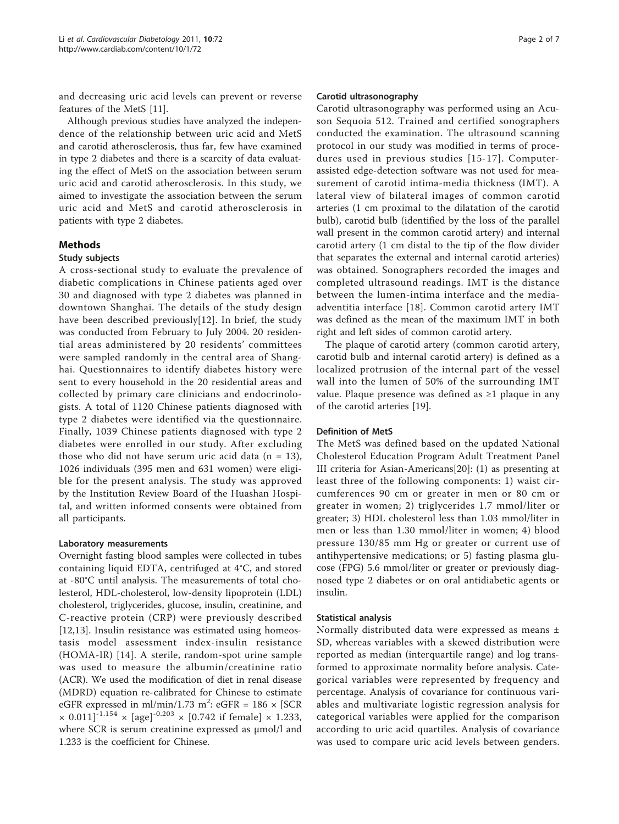and decreasing uric acid levels can prevent or reverse features of the MetS [[11\]](#page-6-0).

Although previous studies have analyzed the independence of the relationship between uric acid and MetS and carotid atherosclerosis, thus far, few have examined in type 2 diabetes and there is a scarcity of data evaluating the effect of MetS on the association between serum uric acid and carotid atherosclerosis. In this study, we aimed to investigate the association between the serum uric acid and MetS and carotid atherosclerosis in patients with type 2 diabetes.

#### Methods

#### Study subjects

A cross-sectional study to evaluate the prevalence of diabetic complications in Chinese patients aged over 30 and diagnosed with type 2 diabetes was planned in downtown Shanghai. The details of the study design have been described previously[[12\]](#page-6-0). In brief, the study was conducted from February to July 2004. 20 residential areas administered by 20 residents' committees were sampled randomly in the central area of Shanghai. Questionnaires to identify diabetes history were sent to every household in the 20 residential areas and collected by primary care clinicians and endocrinologists. A total of 1120 Chinese patients diagnosed with type 2 diabetes were identified via the questionnaire. Finally, 1039 Chinese patients diagnosed with type 2 diabetes were enrolled in our study. After excluding those who did not have serum uric acid data  $(n = 13)$ , 1026 individuals (395 men and 631 women) were eligible for the present analysis. The study was approved by the Institution Review Board of the Huashan Hospital, and written informed consents were obtained from all participants.

#### Laboratory measurements

Overnight fasting blood samples were collected in tubes containing liquid EDTA, centrifuged at 4°C, and stored at -80°C until analysis. The measurements of total cholesterol, HDL-cholesterol, low-density lipoprotein (LDL) cholesterol, triglycerides, glucose, insulin, creatinine, and C-reactive protein (CRP) were previously described [[12,13](#page-6-0)]. Insulin resistance was estimated using homeostasis model assessment index-insulin resistance (HOMA-IR) [[14\]](#page-6-0). A sterile, random-spot urine sample was used to measure the albumin/creatinine ratio (ACR). We used the modification of diet in renal disease (MDRD) equation re-calibrated for Chinese to estimate eGFR expressed in ml/min/1.73 m<sup>2</sup>: eGFR = 186  $\times$  [SCR  $\times$  0.011]<sup>-1.154</sup>  $\times$  [age]<sup>-0.203</sup>  $\times$  [0.742 if female]  $\times$  1.233, where SCR is serum creatinine expressed as μmol/l and 1.233 is the coefficient for Chinese.

#### Carotid ultrasonography

Carotid ultrasonography was performed using an Acuson Sequoia 512. Trained and certified sonographers conducted the examination. The ultrasound scanning protocol in our study was modified in terms of procedures used in previous studies [[15](#page-6-0)-[17](#page-6-0)]. Computerassisted edge-detection software was not used for measurement of carotid intima-media thickness (IMT). A lateral view of bilateral images of common carotid arteries (1 cm proximal to the dilatation of the carotid bulb), carotid bulb (identified by the loss of the parallel wall present in the common carotid artery) and internal carotid artery (1 cm distal to the tip of the flow divider that separates the external and internal carotid arteries) was obtained. Sonographers recorded the images and completed ultrasound readings. IMT is the distance between the lumen-intima interface and the mediaadventitia interface [[18\]](#page-6-0). Common carotid artery IMT was defined as the mean of the maximum IMT in both right and left sides of common carotid artery.

The plaque of carotid artery (common carotid artery, carotid bulb and internal carotid artery) is defined as a localized protrusion of the internal part of the vessel wall into the lumen of 50% of the surrounding IMT value. Plaque presence was defined as ≥1 plaque in any of the carotid arteries [[19\]](#page-6-0).

#### Definition of MetS

The MetS was defined based on the updated National Cholesterol Education Program Adult Treatment Panel III criteria for Asian-Americans[[20\]](#page-6-0): (1) as presenting at least three of the following components: 1) waist circumferences 90 cm or greater in men or 80 cm or greater in women; 2) triglycerides 1.7 mmol/liter or greater; 3) HDL cholesterol less than 1.03 mmol/liter in men or less than 1.30 mmol/liter in women; 4) blood pressure 130/85 mm Hg or greater or current use of antihypertensive medications; or 5) fasting plasma glucose (FPG) 5.6 mmol/liter or greater or previously diagnosed type 2 diabetes or on oral antidiabetic agents or insulin.

#### Statistical analysis

Normally distributed data were expressed as means ± SD, whereas variables with a skewed distribution were reported as median (interquartile range) and log transformed to approximate normality before analysis. Categorical variables were represented by frequency and percentage. Analysis of covariance for continuous variables and multivariate logistic regression analysis for categorical variables were applied for the comparison according to uric acid quartiles. Analysis of covariance was used to compare uric acid levels between genders.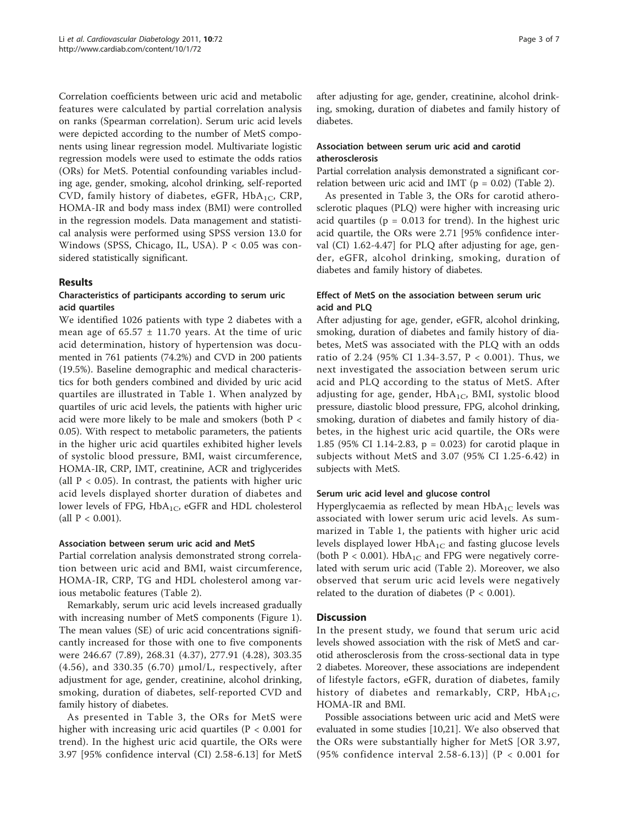Correlation coefficients between uric acid and metabolic features were calculated by partial correlation analysis on ranks (Spearman correlation). Serum uric acid levels were depicted according to the number of MetS components using linear regression model. Multivariate logistic regression models were used to estimate the odds ratios (ORs) for MetS. Potential confounding variables including age, gender, smoking, alcohol drinking, self-reported CVD, family history of diabetes, eGFR,  $HbA_{1C}$ , CRP, HOMA-IR and body mass index (BMI) were controlled in the regression models. Data management and statistical analysis were performed using SPSS version 13.0 for Windows (SPSS, Chicago, IL, USA). P < 0.05 was considered statistically significant.

#### Results

#### Characteristics of participants according to serum uric acid quartiles

We identified 1026 patients with type 2 diabetes with a mean age of  $65.57 \pm 11.70$  years. At the time of uric acid determination, history of hypertension was documented in 761 patients (74.2%) and CVD in 200 patients (19.5%). Baseline demographic and medical characteristics for both genders combined and divided by uric acid quartiles are illustrated in Table [1](#page-3-0). When analyzed by quartiles of uric acid levels, the patients with higher uric acid were more likely to be male and smokers (both P < 0.05). With respect to metabolic parameters, the patients in the higher uric acid quartiles exhibited higher levels of systolic blood pressure, BMI, waist circumference, HOMA-IR, CRP, IMT, creatinine, ACR and triglycerides (all  $P < 0.05$ ). In contrast, the patients with higher uric acid levels displayed shorter duration of diabetes and lower levels of FPG,  $HbA_{1C}$ , eGFR and HDL cholesterol (all  $P < 0.001$ ).

#### Association between serum uric acid and MetS

Partial correlation analysis demonstrated strong correlation between uric acid and BMI, waist circumference, HOMA-IR, CRP, TG and HDL cholesterol among various metabolic features (Table [2\)](#page-4-0).

Remarkably, serum uric acid levels increased gradually with increasing number of MetS components (Figure [1](#page-4-0)). The mean values (SE) of uric acid concentrations significantly increased for those with one to five components were 246.67 (7.89), 268.31 (4.37), 277.91 (4.28), 303.35 (4.56), and 330.35 (6.70) μmol/L, respectively, after adjustment for age, gender, creatinine, alcohol drinking, smoking, duration of diabetes, self-reported CVD and family history of diabetes.

As presented in Table [3,](#page-5-0) the ORs for MetS were higher with increasing uric acid quartiles ( $P < 0.001$  for trend). In the highest uric acid quartile, the ORs were 3.97 [95% confidence interval (CI) 2.58-6.13] for MetS after adjusting for age, gender, creatinine, alcohol drinking, smoking, duration of diabetes and family history of diabetes.

## Association between serum uric acid and carotid atherosclerosis

Partial correlation analysis demonstrated a significant correlation between uric acid and IMT ( $p = 0.02$ ) (Table [2\)](#page-4-0).

As presented in Table [3,](#page-5-0) the ORs for carotid atherosclerotic plaques (PLQ) were higher with increasing uric acid quartiles ( $p = 0.013$  for trend). In the highest uric acid quartile, the ORs were 2.71 [95% confidence interval (CI) 1.62-4.47] for PLQ after adjusting for age, gender, eGFR, alcohol drinking, smoking, duration of diabetes and family history of diabetes.

## Effect of MetS on the association between serum uric acid and PLQ

After adjusting for age, gender, eGFR, alcohol drinking, smoking, duration of diabetes and family history of diabetes, MetS was associated with the PLQ with an odds ratio of 2.24 (95% CI 1.34-3.57, P < 0.001). Thus, we next investigated the association between serum uric acid and PLQ according to the status of MetS. After adjusting for age, gender,  $HbA_{1C}$ , BMI, systolic blood pressure, diastolic blood pressure, FPG, alcohol drinking, smoking, duration of diabetes and family history of diabetes, in the highest uric acid quartile, the ORs were 1.85 (95% CI 1.14-2.83, p = 0.023) for carotid plaque in subjects without MetS and 3.07 (95% CI 1.25-6.42) in subjects with MetS.

#### Serum uric acid level and glucose control

Hyperglycaemia as reflected by mean  $HbA_{1C}$  levels was associated with lower serum uric acid levels. As summarized in Table [1](#page-3-0), the patients with higher uric acid levels displayed lower  $HbA_{1C}$  and fasting glucose levels (both  $P < 0.001$ ). HbA<sub>1C</sub> and FPG were negatively correlated with serum uric acid (Table [2](#page-4-0)). Moreover, we also observed that serum uric acid levels were negatively related to the duration of diabetes ( $P < 0.001$ ).

## **Discussion**

In the present study, we found that serum uric acid levels showed association with the risk of MetS and carotid atherosclerosis from the cross-sectional data in type 2 diabetes. Moreover, these associations are independent of lifestyle factors, eGFR, duration of diabetes, family history of diabetes and remarkably, CRP,  $HbA_{1C}$ , HOMA-IR and BMI.

Possible associations between uric acid and MetS were evaluated in some studies [[10,21](#page-6-0)]. We also observed that the ORs were substantially higher for MetS [OR 3.97, (95% confidence interval 2.58-6.13)] (P < 0.001 for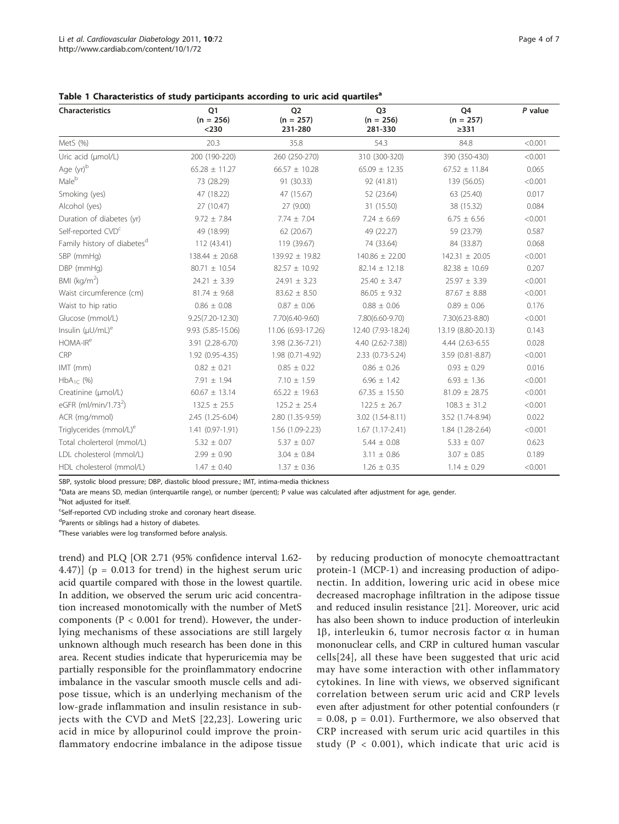| <b>Characteristics</b>                  | Q <sub>1</sub><br>$(n = 256)$<br>$<$ 230 | Q <sub>2</sub><br>$(n = 257)$<br>231-280 | Q <sub>3</sub><br>$(n = 256)$<br>281-330 | Q4<br>$(n = 257)$<br>$\geq$ 331 | $P$ value |
|-----------------------------------------|------------------------------------------|------------------------------------------|------------------------------------------|---------------------------------|-----------|
| MetS (%)                                | 20.3                                     | 35.8                                     | 54.3                                     | 84.8                            | < 0.001   |
| Uric acid (µmol/L)                      | 200 (190-220)                            | 260 (250-270)                            | 310 (300-320)                            | 390 (350-430)                   | < 0.001   |
| Age (yr)b                               | $65.28 \pm 11.27$                        | $66.57 \pm 10.28$                        | $65.09 \pm 12.35$                        | $67.52 \pm 11.84$               | 0.065     |
| Male <sup>b</sup>                       | 73 (28.29)                               | 91 (30.33)                               | 92 (41.81)                               | 139 (56.05)                     | < 0.001   |
| Smoking (yes)                           | 47 (18.22)                               | 47 (15.67)                               | 52 (23.64)                               | 63 (25.40)                      | 0.017     |
| Alcohol (yes)                           | 27 (10.47)                               | 27 (9.00)                                | 31 (15.50)                               | 38 (15.32)                      | 0.084     |
| Duration of diabetes (yr)               | $9.72 \pm 7.84$                          | $7.74 \pm 7.04$                          | $7.24 \pm 6.69$                          | $6.75 \pm 6.56$                 | < 0.001   |
| Self-reported CVD <sup>c</sup>          | 49 (18.99)                               | 62 (20.67)                               | 49 (22.27)                               | 59 (23.79)                      | 0.587     |
| Family history of diabetes <sup>d</sup> | 112 (43.41)                              | 119 (39.67)                              | 74 (33.64)                               | 84 (33.87)                      | 0.068     |
| SBP (mmHg)                              | 138.44 ± 20.68                           | 139.92 ± 19.82                           | $140.86 \pm 22.00$                       | $142.31 \pm 20.05$              | < 0.001   |
| DBP (mmHg)                              | 80.71 ± 10.54                            | $82.57 \pm 10.92$                        | $82.14 \pm 12.18$                        | $82.38 \pm 10.69$               | 0.207     |
| BMI ( $kg/m2$ )                         | $24.21 \pm 3.39$                         | $24.91 \pm 3.23$                         | $25.40 \pm 3.47$                         | $25.97 \pm 3.39$                | < 0.001   |
| Waist circumference (cm)                | $81.74 \pm 9.68$                         | $83.62 \pm 8.50$                         | $86.05 \pm 9.32$                         | $87.67 \pm 8.88$                | < 0.001   |
| Waist to hip ratio                      | $0.86 \pm 0.08$                          | $0.87 \pm 0.06$                          | $0.88 \pm 0.06$                          | $0.89 \pm 0.06$                 | 0.176     |
| Glucose (mmol/L)                        | 9.25(7.20-12.30)                         | 7.70(6.40-9.60)                          | 7.80(6.60-9.70)                          | 7.30(6.23-8.80)                 | < 0.001   |
| Insulin $(\mu U/mL)^e$                  | 9.93 (5.85-15.06)                        | 11.06 (6.93-17.26)                       | 12.40 (7.93-18.24)                       | 13.19 (8.80-20.13)              | 0.143     |
| HOMA-IR <sup>e</sup>                    | 3.91 (2.28-6.70)                         | 3.98 (2.36-7.21)                         | 4.40 (2.62-7.38))                        | 4.44 (2.63-6.55)                | 0.028     |
| CRP                                     | 1.92 (0.95-4.35)                         | 1.98 (0.71-4.92)                         | 2.33 (0.73-5.24)                         | 3.59 (0.81-8.87)                | < 0.001   |
| IMT (mm)                                | $0.82 \pm 0.21$                          | $0.85 \pm 0.22$                          | $0.86 \pm 0.26$                          | $0.93 \pm 0.29$                 | 0.016     |
| $HbA_{1}$ (%)                           | $7.91 \pm 1.94$                          | $7.10 \pm 1.59$                          | $6.96 \pm 1.42$                          | $6.93 \pm 1.36$                 | < 0.001   |
| Creatinine (µmol/L)                     | $60.67 \pm 13.14$                        | $65.22 \pm 19.63$                        | $67.35 \pm 15.50$                        | $81.09 \pm 28.75$               | < 0.001   |
| eGFR $(mI/min/1.732)$                   | $132.5 \pm 25.5$                         | $125.2 \pm 25.4$                         | $122.5 \pm 26.7$                         | $108.3 \pm 31.2$                | < 0.001   |
| ACR (mg/mmol)                           | 2.45 (1.25-6.04)                         | 2.80 (1.35-9.59)                         | 3.02 (1.54-8.11)                         | 3.52 (1.74-8.94)                | 0.022     |
| Triglycerides (mmol/L) <sup>e</sup>     | 1.41 (0.97-1.91)                         | 1.56 (1.09-2.23)                         | $1.67(1.17-2.41)$                        | 1.84 (1.28-2.64)                | < 0.001   |
| Total cholerterol (mmol/L)              | $5.32 \pm 0.07$                          | $5.37 \pm 0.07$                          | $5.44 \pm 0.08$                          | $5.33 \pm 0.07$                 | 0.623     |
| LDL cholesterol (mmol/L)                | $2.99 \pm 0.90$                          | $3.04 \pm 0.84$                          | $3.11 \pm 0.86$                          | $3.07 \pm 0.85$                 | 0.189     |
| HDL cholesterol (mmol/L)                | $1.47 \pm 0.40$                          | $1.37 \pm 0.36$                          | $1.26 \pm 0.35$                          | $1.14 \pm 0.29$                 | < 0.001   |

<span id="page-3-0"></span>Table 1 Characteristics of study participants according to uric acid quartiles<sup>a</sup>

SBP, systolic blood pressure; DBP, diastolic blood pressure.; IMT, intima-media thickness

a<br>Data are means SD, median (interquartile range), or number (percent); P value was calculated after adjustment for age, gender.

<sup>b</sup>Not adjusted for itself.

<sup>c</sup>Self-reported CVD including stroke and coronary heart disease.

dParents or siblings had a history of diabetes.

<sup>e</sup>These variables were log transformed before analysis.

trend) and PLQ [OR 2.71 (95% confidence interval 1.62- 4.47)] ( $p = 0.013$  for trend) in the highest serum uric acid quartile compared with those in the lowest quartile. In addition, we observed the serum uric acid concentration increased monotomically with the number of MetS components ( $P < 0.001$  for trend). However, the underlying mechanisms of these associations are still largely unknown although much research has been done in this area. Recent studies indicate that hyperuricemia may be partially responsible for the proinflammatory endocrine imbalance in the vascular smooth muscle cells and adipose tissue, which is an underlying mechanism of the low-grade inflammation and insulin resistance in subjects with the CVD and MetS [[22](#page-6-0),[23](#page-6-0)]. Lowering uric acid in mice by allopurinol could improve the proinflammatory endocrine imbalance in the adipose tissue by reducing production of monocyte chemoattractant protein-1 (MCP-1) and increasing production of adiponectin. In addition, lowering uric acid in obese mice decreased macrophage infiltration in the adipose tissue and reduced insulin resistance [[21\]](#page-6-0). Moreover, uric acid has also been shown to induce production of interleukin 1 $\beta$ , interleukin 6, tumor necrosis factor  $\alpha$  in human mononuclear cells, and CRP in cultured human vascular cells[\[24\]](#page-6-0), all these have been suggested that uric acid may have some interaction with other inflammatory cytokines. In line with views, we observed significant correlation between serum uric acid and CRP levels even after adjustment for other potential confounders (r  $= 0.08$ ,  $p = 0.01$ ). Furthermore, we also observed that CRP increased with serum uric acid quartiles in this study ( $P < 0.001$ ), which indicate that uric acid is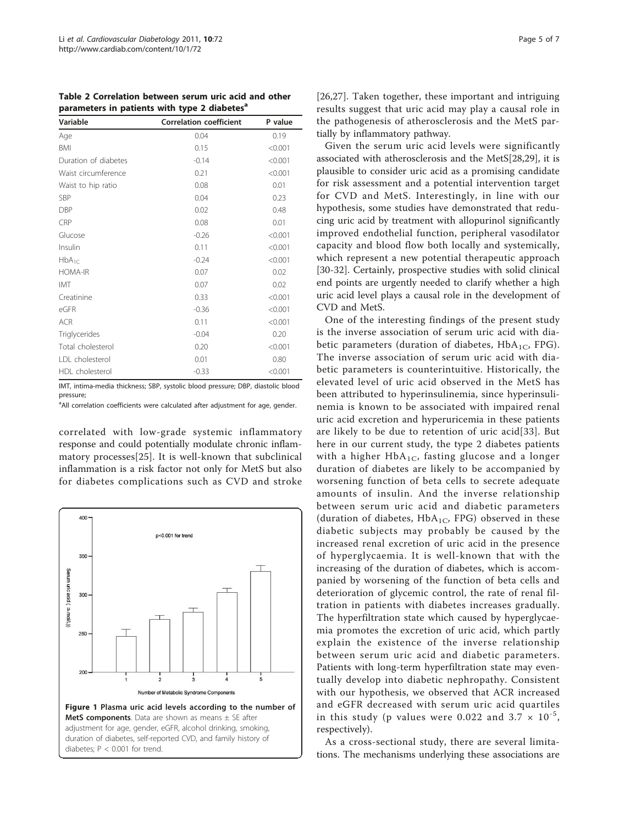<span id="page-4-0"></span>Table 2 Correlation between serum uric acid and other parameters in patients with type 2 diabetes<sup>a</sup>

| Variable             | <b>Correlation coefficient</b> | P value |  |
|----------------------|--------------------------------|---------|--|
| Age                  | 0.04                           | 0.19    |  |
| <b>BMI</b>           | 0.15                           | < 0.001 |  |
| Duration of diabetes | $-0.14$                        | < 0.001 |  |
| Waist circumference  | 0.21                           | < 0.001 |  |
| Waist to hip ratio   | 0.08                           | 0.01    |  |
| <b>SBP</b>           | 0.04                           | 0.23    |  |
| <b>DBP</b>           | 0.02                           | 0.48    |  |
| CRP                  | 0.08                           | 0.01    |  |
| Glucose              | $-0.26$                        | < 0.001 |  |
| Insulin              | 0.11                           | < 0.001 |  |
| $HbA_{1C}$           | $-0.24$                        | < 0.001 |  |
| <b>HOMA-IR</b>       | 0.07                           | 0.02    |  |
| <b>IMT</b>           | 0.07                           | 0.02    |  |
| Creatinine           | 0.33                           | < 0.001 |  |
| eGFR                 | $-0.36$                        | < 0.001 |  |
| <b>ACR</b>           | 0.11                           | < 0.001 |  |
| Triglycerides        | $-0.04$                        | 0.20    |  |
| Total cholesterol    | 0.20                           | < 0.001 |  |
| LDL cholesterol      | 0.01                           | 0.80    |  |
| HDL cholesterol      | $-0.33$                        | < 0.001 |  |

IMT, intima-media thickness; SBP, systolic blood pressure; DBP, diastolic blood pressure;

<sup>a</sup>All correlation coefficients were calculated after adjustment for age, gender.

correlated with low-grade systemic inflammatory response and could potentially modulate chronic inflammatory processes[\[25](#page-6-0)]. It is well-known that subclinical inflammation is a risk factor not only for MetS but also for diabetes complications such as CVD and stroke



[[26,27](#page-6-0)]. Taken together, these important and intriguing results suggest that uric acid may play a causal role in the pathogenesis of atherosclerosis and the MetS partially by inflammatory pathway.

Given the serum uric acid levels were significantly associated with atherosclerosis and the MetS[[28,29\]](#page-6-0), it is plausible to consider uric acid as a promising candidate for risk assessment and a potential intervention target for CVD and MetS. Interestingly, in line with our hypothesis, some studies have demonstrated that reducing uric acid by treatment with allopurinol significantly improved endothelial function, peripheral vasodilator capacity and blood flow both locally and systemically, which represent a new potential therapeutic approach [[30-32](#page-6-0)]. Certainly, prospective studies with solid clinical end points are urgently needed to clarify whether a high uric acid level plays a causal role in the development of CVD and MetS.

One of the interesting findings of the present study is the inverse association of serum uric acid with diabetic parameters (duration of diabetes,  $HbA_{1C}$ , FPG). The inverse association of serum uric acid with diabetic parameters is counterintuitive. Historically, the elevated level of uric acid observed in the MetS has been attributed to hyperinsulinemia, since hyperinsulinemia is known to be associated with impaired renal uric acid excretion and hyperuricemia in these patients are likely to be due to retention of uric acid[[33](#page-6-0)]. But here in our current study, the type 2 diabetes patients with a higher  $HbA_{1C}$ , fasting glucose and a longer duration of diabetes are likely to be accompanied by worsening function of beta cells to secrete adequate amounts of insulin. And the inverse relationship between serum uric acid and diabetic parameters (duration of diabetes,  $HbA_{1C}$ , FPG) observed in these diabetic subjects may probably be caused by the increased renal excretion of uric acid in the presence of hyperglycaemia. It is well-known that with the increasing of the duration of diabetes, which is accompanied by worsening of the function of beta cells and deterioration of glycemic control, the rate of renal filtration in patients with diabetes increases gradually. The hyperfiltration state which caused by hyperglycaemia promotes the excretion of uric acid, which partly explain the existence of the inverse relationship between serum uric acid and diabetic parameters. Patients with long-term hyperfiltration state may eventually develop into diabetic nephropathy. Consistent with our hypothesis, we observed that ACR increased and eGFR decreased with serum uric acid quartiles in this study (p values were 0.022 and 3.7  $\times$  10<sup>-5</sup>, respectively).

As a cross-sectional study, there are several limitations. The mechanisms underlying these associations are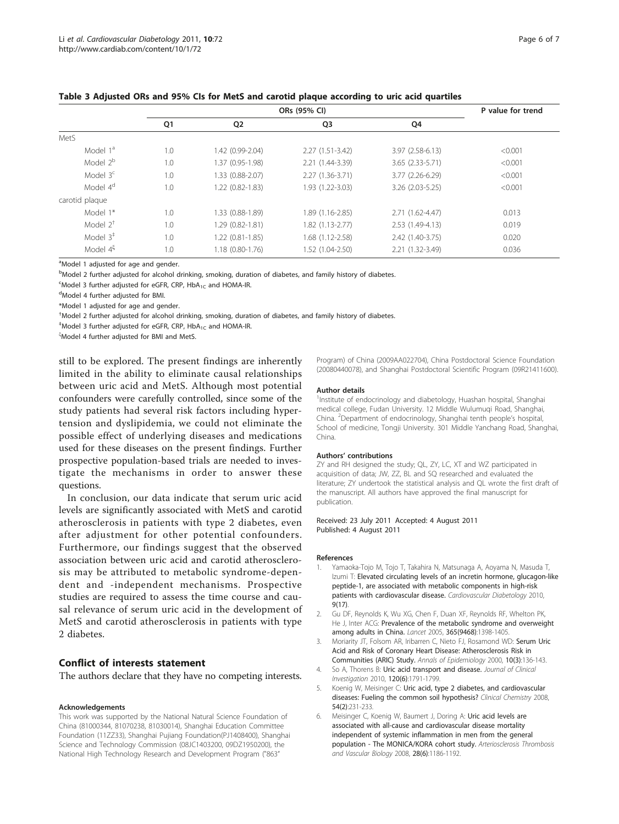|                      | ORs (95% CI)   |                     |                   |                   | P value for trend |
|----------------------|----------------|---------------------|-------------------|-------------------|-------------------|
|                      | Q <sub>1</sub> | Q <sub>2</sub>      | Q <sub>3</sub>    | Q4                |                   |
| MetS                 |                |                     |                   |                   |                   |
| Model 1 <sup>a</sup> | 1.0            | 1.42 (0.99-2.04)    | $2.27(1.51-3.42)$ | $3.97(2.58-6.13)$ | < 0.001           |
| Model 2 <sup>b</sup> | 1.0            | 1.37 (0.95-1.98)    | 2.21 (1.44-3.39)  | $3.65(2.33-5.71)$ | < 0.001           |
| Model 3 <sup>c</sup> | 1.0            | 1.33 (0.88-2.07)    | $2.27(1.36-3.71)$ | 3.77 (2.26-6.29)  | < 0.001           |
| Model 4 <sup>d</sup> | 1.0            | 1.22 (0.82-1.83)    | 1.93 (1.22-3.03)  | 3.26 (2.03-5.25)  | < 0.001           |
| carotid plaque       |                |                     |                   |                   |                   |
| Model 1*             | 1.0            | 1.33 (0.88-1.89)    | 1.89 (1.16-2.85)  | 2.71 (1.62-4.47)  | 0.013             |
| Model $2^+$          | 1.0            | 1.29 (0.82-1.81)    | 1.82 (1.13-2.77)  | 2.53 (1.49-4.13)  | 0.019             |
| Model $3^{\ddagger}$ | 1.0            | $1.22(0.81 - 1.85)$ | 1.68 (1.12-2.58)  | 2.42 (1.40-3.75)  | 0.020             |
| Model 4 <sup>5</sup> | 1.0            | $1.18(0.80-1.76)$   | 1.52 (1.04-2.50)  | 2.21 (1.32-3.49)  | 0.036             |

<span id="page-5-0"></span>

| Table 3 Adjusted ORs and 95% CIs for MetS and carotid plaque according to uric acid quartiles |  |  |  |
|-----------------------------------------------------------------------------------------------|--|--|--|
|-----------------------------------------------------------------------------------------------|--|--|--|

<sup>a</sup>Model 1 adjusted for age and gender.

bModel 2 further adjusted for alcohol drinking, smoking, duration of diabetes, and family history of diabetes.

 $\epsilon$ Model 3 further adjusted for eGFR, CRP, HbA<sub>1C</sub> and HOMA-IR.

d Model 4 further adjusted for BMI.

\*Model 1 adjusted for age and gender.

† Model 2 further adjusted for alcohol drinking, smoking, duration of diabetes, and family history of diabetes.

 $^{\ddagger}$ Model 3 further adjusted for eGFR, CRP, HbA<sub>1C</sub> and HOMA-IR.

ξ<br>Model 4 further adjusted for BMI and MetS.

still to be explored. The present findings are inherently limited in the ability to eliminate causal relationships between uric acid and MetS. Although most potential confounders were carefully controlled, since some of the study patients had several risk factors including hypertension and dyslipidemia, we could not eliminate the possible effect of underlying diseases and medications used for these diseases on the present findings. Further prospective population-based trials are needed to investigate the mechanisms in order to answer these questions.

In conclusion, our data indicate that serum uric acid levels are significantly associated with MetS and carotid atherosclerosis in patients with type 2 diabetes, even after adjustment for other potential confounders. Furthermore, our findings suggest that the observed association between uric acid and carotid atherosclerosis may be attributed to metabolic syndrome-dependent and -independent mechanisms. Prospective studies are required to assess the time course and causal relevance of serum uric acid in the development of MetS and carotid atherosclerosis in patients with type 2 diabetes.

#### Conflict of interests statement

The authors declare that they have no competing interests.

#### Acknowledgements

This work was supported by the National Natural Science Foundation of China (81000344, 81070238, 81030014), Shanghai Education Committee Foundation (11ZZ33), Shanghai Pujiang Foundation(PJ1408400), Shanghai Science and Technology Commission (08JC1403200, 09DZ1950200), the National High Technology Research and Development Program ("863"

Program) of China (2009AA022704), China Postdoctoral Science Foundation (20080440078), and Shanghai Postdoctoral Scientific Program (09R21411600).

#### Author details

<sup>1</sup>Institute of endocrinology and diabetology, Huashan hospital, Shanghai medical college, Fudan University. 12 Middle Wulumuqi Road, Shanghai, China. <sup>2</sup> Department of endocrinology, Shanghai tenth people's hospital, School of medicine, Tongji University. 301 Middle Yanchang Road, Shanghai, China.

#### Authors' contributions

ZY and RH designed the study; QL, ZY, LC, XT and WZ participated in acquisition of data; JW, ZZ, BL and SQ researched and evaluated the literature; ZY undertook the statistical analysis and QL wrote the first draft of the manuscript. All authors have approved the final manuscript for publication.

Received: 23 July 2011 Accepted: 4 August 2011 Published: 4 August 2011

#### References

- 1. Yamaoka-Tojo M, Tojo T, Takahira N, Matsunaga A, Aoyama N, Masuda T, Izumi T: Elevated circulating levels of an incretin hormone, glucagon-like peptide-1, are associated with metabolic components in high-risk patients with cardiovascular disease. Cardiovascular Diabetology 2010, 9(17).
- 2. Gu DF, Reynolds K, Wu XG, Chen F, Duan XF, Reynolds RF, Whelton PK, He J, Inter ACG: [Prevalence of the metabolic syndrome and overweight](http://www.ncbi.nlm.nih.gov/pubmed/15836888?dopt=Abstract) [among adults in China.](http://www.ncbi.nlm.nih.gov/pubmed/15836888?dopt=Abstract) Lancet 2005, 365(9468):1398-1405.
- 3. Moriarity JT, Folsom AR, Iribarren C, Nieto FJ, Rosamond WD: [Serum Uric](http://www.ncbi.nlm.nih.gov/pubmed/10813506?dopt=Abstract) [Acid and Risk of Coronary Heart Disease: Atherosclerosis Risk in](http://www.ncbi.nlm.nih.gov/pubmed/10813506?dopt=Abstract) [Communities \(ARIC\) Study.](http://www.ncbi.nlm.nih.gov/pubmed/10813506?dopt=Abstract) Annals of Epidemiology 2000, 10(3):136-143.
- 4. So A, Thorens B: [Uric acid transport and disease.](http://www.ncbi.nlm.nih.gov/pubmed/20516647?dopt=Abstract) Journal of Clinical Investigation 2010, 120(6):1791-1799.
- 5. Koenig W, Meisinger C: [Uric acid, type 2 diabetes, and cardiovascular](http://www.ncbi.nlm.nih.gov/pubmed/18223129?dopt=Abstract) [diseases: Fueling the common soil hypothesis?](http://www.ncbi.nlm.nih.gov/pubmed/18223129?dopt=Abstract) Clinical Chemistry 2008, 54(2):231-233.
- 6. Meisinger C, Koenig W, Baumert J, Doring A: Uric acid levels are associated with all-cause and cardiovascular disease mortality independent of systemic inflammation in men from the general population - The MONICA/KORA cohort study. Arteriosclerosis Thrombosis and Vascular Biology 2008, 28(6):1186-1192.